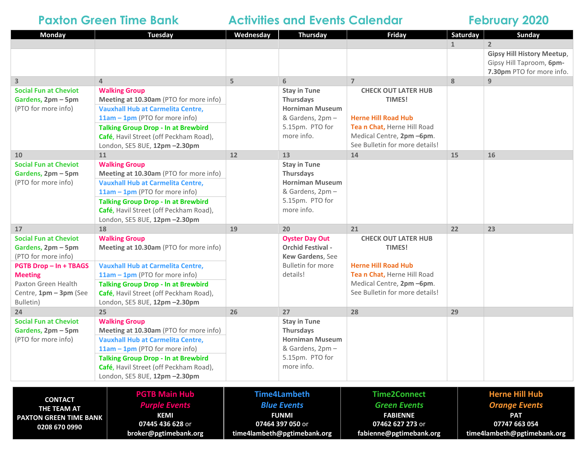# **Paxton Green Time Bank 4 Activities and Events Calendar 6 February 2020**

| <b>Monday</b>                                 | <b>Tuesday</b>                                                                       | Wednesday                   | Thursday                                   | <b>Friday</b>                                           | Saturday     | Sunday                            |  |
|-----------------------------------------------|--------------------------------------------------------------------------------------|-----------------------------|--------------------------------------------|---------------------------------------------------------|--------------|-----------------------------------|--|
|                                               |                                                                                      |                             |                                            |                                                         | $\mathbf{1}$ | $\overline{2}$                    |  |
|                                               |                                                                                      |                             |                                            |                                                         |              | <b>Gipsy Hill History Meetup,</b> |  |
|                                               |                                                                                      |                             |                                            |                                                         |              | Gipsy Hill Taproom, 6pm-          |  |
|                                               |                                                                                      |                             |                                            |                                                         |              | 7.30pm PTO for more info.         |  |
| 3                                             | $\overline{4}$                                                                       | 5                           | 6                                          | $\overline{7}$                                          | 8            | 9                                 |  |
| <b>Social Fun at Cheviot</b>                  | <b>Walking Group</b>                                                                 |                             | <b>Stay in Tune</b>                        | <b>CHECK OUT LATER HUB</b>                              |              |                                   |  |
| Gardens, 2pm - 5pm                            | Meeting at 10.30am (PTO for more info)                                               |                             | <b>Thursdays</b>                           | TIMES!                                                  |              |                                   |  |
| (PTO for more info)                           | <b>Vauxhall Hub at Carmelita Centre,</b>                                             |                             | <b>Horniman Museum</b>                     | <b>Herne Hill Road Hub</b>                              |              |                                   |  |
|                                               | 11am - 1pm (PTO for more info)<br><b>Talking Group Drop - In at Brewbird</b>         |                             | & Gardens, 2pm -<br>5.15pm. PTO for        | Tean Chat, Herne Hill Road                              |              |                                   |  |
|                                               | Café, Havil Street (off Peckham Road),                                               |                             | more info.                                 | Medical Centre, 2pm -6pm.                               |              |                                   |  |
|                                               | London, SE5 8UE, 12pm -2.30pm                                                        |                             |                                            | See Bulletin for more details!                          |              |                                   |  |
| 10                                            | 11                                                                                   | 12                          | 13                                         | 14                                                      | 15           | 16                                |  |
| <b>Social Fun at Cheviot</b>                  | <b>Walking Group</b>                                                                 |                             | <b>Stay in Tune</b>                        |                                                         |              |                                   |  |
| Gardens, 2pm - 5pm                            | Meeting at 10.30am (PTO for more info)                                               |                             | Thursdays                                  |                                                         |              |                                   |  |
| (PTO for more info)                           | <b>Vauxhall Hub at Carmelita Centre,</b>                                             |                             | <b>Horniman Museum</b>                     |                                                         |              |                                   |  |
|                                               | 11am - 1pm (PTO for more info)                                                       |                             | & Gardens, 2pm -                           |                                                         |              |                                   |  |
|                                               | <b>Talking Group Drop - In at Brewbird</b>                                           |                             | 5.15pm. PTO for                            |                                                         |              |                                   |  |
|                                               | Café, Havil Street (off Peckham Road),                                               |                             | more info.                                 |                                                         |              |                                   |  |
|                                               | London, SE5 8UE, 12pm -2.30pm                                                        |                             |                                            |                                                         |              |                                   |  |
| 17                                            | 18                                                                                   | 19                          | 20                                         | 21                                                      | 22           | 23                                |  |
| <b>Social Fun at Cheviot</b>                  | <b>Walking Group</b>                                                                 |                             | <b>Oyster Day Out</b>                      | <b>CHECK OUT LATER HUB</b>                              |              |                                   |  |
| Gardens, 2pm - 5pm                            | Meeting at 10.30am (PTO for more info)                                               |                             | <b>Orchid Festival -</b>                   | TIMES!                                                  |              |                                   |  |
| (PTO for more info)                           |                                                                                      |                             | Kew Gardens, See                           |                                                         |              |                                   |  |
| <b>PGTB Drop-In+TBAGS</b>                     | <b>Vauxhall Hub at Carmelita Centre,</b>                                             |                             | <b>Bulletin for more</b>                   | <b>Herne Hill Road Hub</b>                              |              |                                   |  |
| <b>Meeting</b>                                | $11am - 1pm$ (PTO for more info)                                                     |                             | details!                                   | Tean Chat, Herne Hill Road<br>Medical Centre, 2pm -6pm. |              |                                   |  |
| Paxton Green Health<br>Centre, 1pm - 3pm (See | <b>Talking Group Drop - In at Brewbird</b><br>Café, Havil Street (off Peckham Road), |                             |                                            | See Bulletin for more details!                          |              |                                   |  |
| Bulletin)                                     | London, SE5 8UE, 12pm -2.30pm                                                        |                             |                                            |                                                         |              |                                   |  |
| 24                                            | 25                                                                                   | 26                          | 27                                         | 28                                                      | 29           |                                   |  |
| <b>Social Fun at Cheviot</b>                  | <b>Walking Group</b>                                                                 |                             | <b>Stay in Tune</b>                        |                                                         |              |                                   |  |
| Gardens, 2pm - 5pm<br>(PTO for more info)     | Meeting at 10.30am (PTO for more info)                                               |                             | <b>Thursdays</b><br><b>Horniman Museum</b> |                                                         |              |                                   |  |
|                                               | <b>Vauxhall Hub at Carmelita Centre,</b>                                             |                             |                                            |                                                         |              |                                   |  |
|                                               | 11am - 1pm (PTO for more info)                                                       |                             | & Gardens, 2pm -                           |                                                         |              |                                   |  |
|                                               | <b>Talking Group Drop - In at Brewbird</b>                                           |                             | 5.15pm. PTO for                            |                                                         |              |                                   |  |
|                                               | Café, Havil Street (off Peckham Road),                                               |                             | more info.                                 |                                                         |              |                                   |  |
|                                               | London, SE5 8UE, 12pm -2.30pm                                                        |                             |                                            |                                                         |              |                                   |  |
|                                               |                                                                                      |                             |                                            |                                                         |              |                                   |  |
| <b>CONTACT</b>                                | <b>PGTB Main Hub</b>                                                                 |                             | <b>Time4Lambeth</b>                        | <b>Time2Connect</b>                                     |              | <b>Herne Hill Hub</b>             |  |
| THE TEAM AT                                   | <b>Purple Events</b>                                                                 |                             | <b>Blue Events</b>                         | <b>Green Events</b>                                     |              | <b>Orange Events</b>              |  |
| <b>KEMI</b><br><b>PAXTON GREEN TIME BANK</b>  |                                                                                      | <b>FUNMI</b>                |                                            | <b>FABIENNE</b>                                         |              | <b>PAT</b>                        |  |
| 0208 670 0990                                 | 07445 436 628 or                                                                     | 07464 397 050 or            |                                            | 07462 627 273 or                                        |              | 07747 663 054                     |  |
|                                               | broker@pgtimebank.org                                                                | time4lambeth@pgtimebank.org |                                            | fabienne@pgtimebank.org                                 |              | time4lambeth@pgtimebank.org       |  |